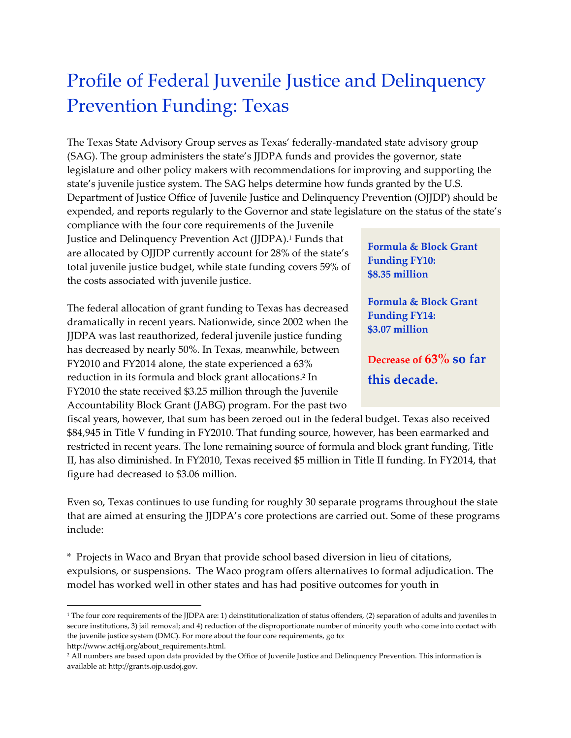## Profile of Federal Juvenile Justice and Delinquency Prevention Funding: Texas

The Texas State Advisory Group serves as Texas' federally-mandated state advisory group (SAG). The group administers the state's JJDPA funds and provides the governor, state legislature and other policy makers with recommendations for improving and supporting the state's juvenile justice system. The SAG helps determine how funds granted by the U.S. Department of Justice Office of Juvenile Justice and Delinquency Prevention (OJJDP) should be expended, and reports regularly to the Governor and state legislature on the status of the state's

compliance with the four core requirements of the Juvenile Justice and Delinquency Prevention Act (JJDPA). <sup>1</sup> Funds that are allocated by OJJDP currently account for 28% of the state's total juvenile justice budget, while state funding covers 59% of the costs associated with juvenile justice.

The federal allocation of grant funding to Texas has decreased dramatically in recent years. Nationwide, since 2002 when the JJDPA was last reauthorized, federal juvenile justice funding has decreased by nearly 50%. In Texas, meanwhile, between FY2010 and FY2014 alone, the state experienced a 63% reduction in its formula and block grant allocations. 2 In FY2010 the state received \$3.25 million through the Juvenile Accountability Block Grant (JABG) program. For the past two

**Formula & Block Grant Funding FY10: \$8.35 million**

**Formula & Block Grant Funding FY14: \$3.07 million**

**Decrease of 63% so far this decade.**

fiscal years, however, that sum has been zeroed out in the federal budget. Texas also received \$84,945 in Title V funding in FY2010. That funding source, however, has been earmarked and restricted in recent years. The lone remaining source of formula and block grant funding, Title II, has also diminished. In FY2010, Texas received \$5 million in Title II funding. In FY2014, that figure had decreased to \$3.06 million.

Even so, Texas continues to use funding for roughly 30 separate programs throughout the state that are aimed at ensuring the JJDPA's core protections are carried out. Some of these programs include:

\* Projects in Waco and Bryan that provide school based diversion in lieu of citations, expulsions, or suspensions. The Waco program offers alternatives to formal adjudication. The model has worked well in other states and has had positive outcomes for youth in

http://www.act4jj.org/about\_requirements.html.

 $\overline{\phantom{a}}$ 

<sup>&</sup>lt;sup>1</sup> The four core requirements of the JJDPA are: 1) deinstitutionalization of status offenders, (2) separation of adults and juveniles in secure institutions, 3) jail removal; and 4) reduction of the disproportionate number of minority youth who come into contact with the juvenile justice system (DMC). For more about the four core requirements, go to:

<sup>&</sup>lt;sup>2</sup> All numbers are based upon data provided by the Office of Juvenile Justice and Delinquency Prevention. This information is available at: http://grants.ojp.usdoj.gov.